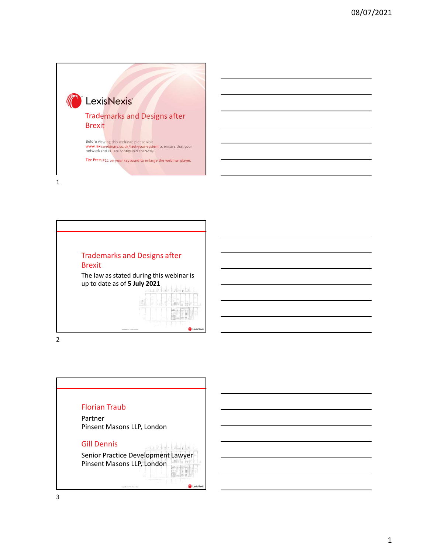



2



3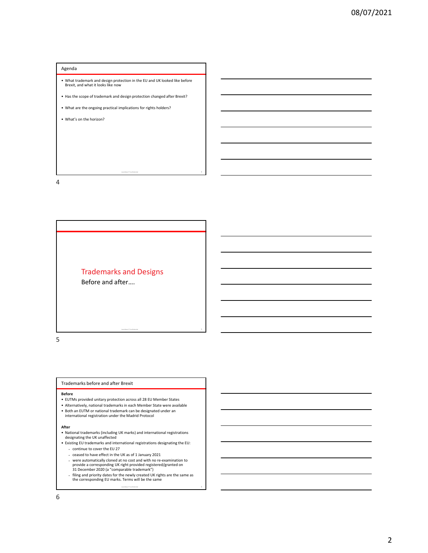# Agenda

- **What trademark and design protection in the EU and UK looked like before**<br>• Brexit, and what it looks like now<br>• Has the scope of trademark and design protection changed after Brexit?<br>• What are the ongoing practical • What trademark and design protection in the EU and UK looked like before Brexit, and what it looks like now Agenda<br>• What trademark and design protection in the EU and UK looked like before<br>• Has the scope of trademark and design protection changed after Brexit?<br>• What are the ongoing practical implications for rights holders?<br>• Agenda<br>• What trademark and design protection in the EU and UK looked like before<br>beat, snow what it looks like now<br>• Has the scope of trademark and design protection changed after Brexit?<br>• What's on the horizon?<br>• What's
- 

LexisNexis® Confidential 4

LexisNexis® Confidential 6

- 
- 

4

LexisNexis® Confidential <sup>5</sup> Before and after…. Trademarks and Designs Fractermarks and Designs<br>
Before and after....<br>
• European across all 28 EU Member States<br>
\* EUMs provided unitary protection across all 28 EU Member States<br>
\* EUMs provided unitary protection across all 28 EU Member Stat Trademarks and Designs<br>
Before and after ....<br>
Trademarks before and after Brexit<br>
Here<br>
Here<br>
Let this provided unitary protection around if EU EU Member States<br>
Let this provided unitary protection around all EU EU Membe **Final emmarks and Designs<br>
Before and after....**<br> **•**<br> **••**<br> **••**<br> **••**<br> **••**<br> **••**<br> **••** Althouse booked unltary protection aross all 28 EU Member States<br>
•• Althouse booked under and internal trademark can be designate

 $5<sub>5</sub>$ 

## Trademarks before and after Brexit

## **Before Before**

- 
- 
- Finance international registrational registrational redefinant can be designated under an international registration under the Madrid Protocol
- 

- National trademarks (including UK marks) and international registrations designating the UK unaffected
- -
	- ceased to have effect in the UK as of 1 January 2021
- Trademarks and Designs<br>
Before and after ....<br> **Excelsion**<br> **Excelsion Constant of Excelsion and the Section and international registration**<br> **After the Constant Constant Constant Constant Constant Constant Constant Const** • Trademarks before and after ....<br>• Existing European and after Service ...<br>• Existing EU trademarks before and after Breati<br>
• Alternational registration and the Market State were available<br>• Alternations of the EU cover • were automatically cloned at no cost and with no re-examination to provide a corresponding UK right provided registered/granted on 31 December 2020 (a "comparable trademark")
	- filing and priority dates for the newly created UK rights are the same as the corresponding EU marks. Terms will be the same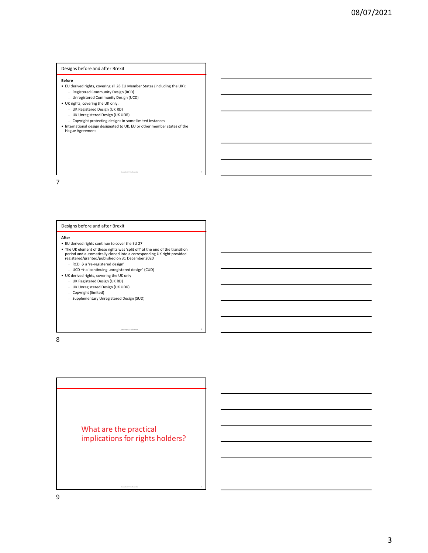# Designs before and after Brexit

### **Before Before**

- -
- 
- 
- 
- 
- **Before**<br>• EU derived rights, covering all 28 EU Member States (including the UK):<br>• Registered Community Design (RCD)<br>• UK rights, covering the UK only:<br>• UK Registered Design (UK RD)<br>• UK Registered Design (UK RD)<br>• Coyr exigns before and after Brexit<br>
• Eu derived rights, covering all 28 EU Member States (including the UK):<br>
• Registered Community Design (UCD)<br>
• UK Registered Design (UK RD)<br>
• UK Registered Design (UK RD)<br>
• UK Register **Designs before and after Brexit**<br>• EU derived rights, covering all 28 EU Member States (including the UK):<br>• International designation of UK, EU or other member states of the UK,<br>• UK, Equity and County the UK only;<br>• UK, • International design designated to UK, EU or other member states of the Hague Agreement

LexisNexis® Confidential 7

LexisNexis® Confidential 8

# 7

# Designs before and after Brexit

- 
- Designs before and after Breati<br>
education (gives, covering the 28 U. Monehart States (including the UK;<br>
 Like Suggestered Community, Design (ICC)<br>
 U. K. inglessed rights continue to course.<br>
 U. K. inglessed rights c **Refore<br>• El deriver delity, covering all 28 EU Member States (including the UK):**<br>• The UK registered Community Design (IXCD)<br>• UK in Registered Design (UK RS)<br>• UK element of design (UK RS)<br>• UK element of design designs period and automatically cloned into a corresponding UK right provided registered/granted/published on 31 December 2020 • UK derived rights covering the UK only<br>• UK dependent Design (UK is Co)<br>• UK dependent Design (UK is Co<br>• Coopyright prodecling designs in some limited instances<br>• International design designs ated UK, EU or other member
	- $\cdot$  RCD  $\rightarrow$  a 're-registered design'
- UCD  $\rightarrow$  a 'continuing unregistered design' (CUD)<br>• UK derived rights, covering the UK only
	-
	- UK Registered Design (UK RD)
	- UK Unregistered Design (UK UDR)
	- Copyright (limited)
	- Supplementary Unregistered Design (SUD)

8 and 2010 and 2010 and 2010 and 2010 and 2010 and 2010 and 2010 and 2010 and 2010 and 2010 and 2010 and 2010

LexisNexis® Confidential <sup>9</sup> What are the practical implications for rights holders?

9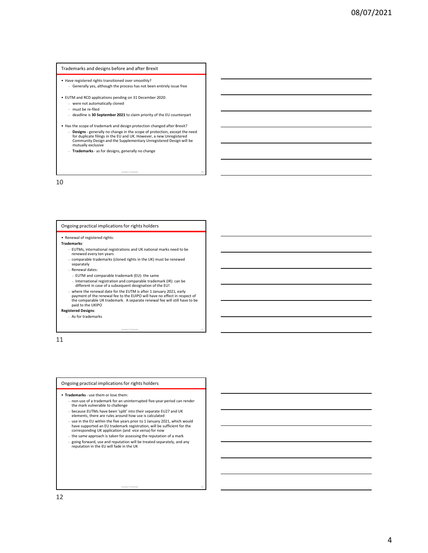## Trademarks and designs before and after Brexit

- Generally yes, although the process has not been entirely issue free
- -
	- must be re-filed
	- deadline is 30 September 2021 to claim priority of the EU counterpart
- Frademarks and designs before and after Brexit<br>• Have registered rights transitioned over smoothly?<br>• Generally yes, although the process has not been entirely issue free<br>• EUTM and RCD applications pending on 31 December **Trademarks and designs before and after Brexit<br>• Have registered rights transitioned over smoothly?**<br>• Generally yes, although the process has not been entirely issue free<br>• EUTM and RCD applications pending on 31 Decemb Frademarks and designs before and after Brexit<br>• Have registered rights transitioned over smoothly?<br>• Generally yes, although the process has not been entirely issue free<br>• EUTM and RCD applications pending on 31 December demarks and designs before and after Brexit<br>veregistered rights transitioned over smoothly?<br>
Generally yes, although the process has not been entirely issue free<br>two change in the scope of protection, except the needed of<br> for duplicate filings in the EU and UK. However, a new Unregistered Community Design and the Supplementary Unregistered Design will be mutually exclusive demarks and designs before and after Brexit<br>veregistered rights transitioned over smoothly?<br>
Cenerally yes, although the process has not been entirely issue free<br>
were not automated by each gap and the centere 2020.<br>
The s Trademarks and designs before and after Brexit<br>
• Have registered rights transitioned over smoothly?<br>
• Generally ves, although the process has not been entrely issue free<br>
• EUTM and KD applications periodic chain priorit

LexisNexis® Confidential 10

LexisNexis® Confidential 11

LexisNexis® Confidential 12

10

## Ongoing practical implications for rights holders

- FUTMs, international registrations and UK national marks need to be renewed every ten years
- comparable trademarks (cloned rights in the UK) must be renewed separately
- Renewal dates:
- EUTM and comparable trademark (EU): the same
- International registration and comparable trademark (IR): can be different in case of a subsequent designation of the EU!
- where the renewal date for the EUTM is after 1 January 2021, early payment of the renewal fee to the EUIPO will have no effect in respect of **comparation in the comparation of the**<br>the comparable UK trademark. A separate renewal fee will still have to be **comparation in the comparation of** paid to the UKIPO Ongoing practical implications for rights holders • Transmission resistances • Transmission resistances • Transmission resistances • Transmission resistances • Transmission resistance in the more of a trademarks (Olevel af
- Registered Designs:
	- As for trademarks

11

- - the mark vulnerable to challenge
	- because EUTMs have been 'split' into their separate EU27 and UK elements, there are rules around how use is calculated
	- end the EU within the five years prior to 1 January 2021, which would<br>have supported an EU trademark registration, will be sufficient for the corresponding UK application (and vice versa) for now<br>corresponding UK applicati
	- the same approach is taken for assessing the reputation of a mark • going forward, use and reputation will be treated separately, and any reputation in the EU will fade in the UK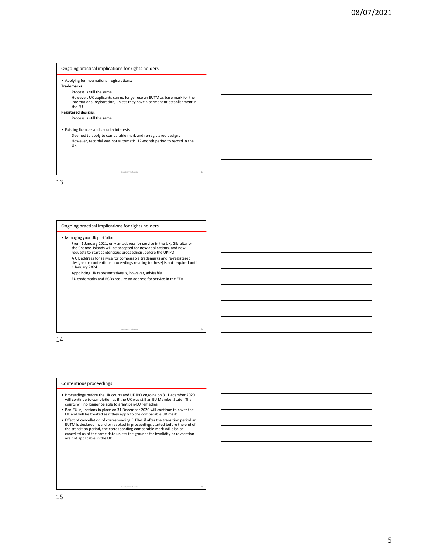# Ongoing practical implications for rights holders

- 
- -
- **CONDUMBED ACCOMOUT ACCOMOUT CONDUCTS**<br>
 Applying for international registrations:<br> **Trademarks:**<br>
 Process is still the same<br>
 Herewelv, UK applicants can no longer use an EUTM as base mark for the<br>
the FU<br>
internation • However, UK applicants can no longer use an EUTM as base mark for the international registration, unless they have a permanent establishment in the EU
- 
- Registered designs:<br>Process is still the same
- 
- 
- **CONDITY THE SECT ASSEMATE CONDUCTS AND ASSEMATE ASSEMATE ASSEMATE ASSEMATE ASSEMATE ASSEMATE ASSEMATE ASSEMATE ASSEMATE ASSEMATE ASSEMATE ASSEMATE ASSEMATE ASSEMATE ASSEMATE ASSEMATE ASSEMATE ASSEMATE ASSEMATE ASSEMATE AS** • Deemed to apply to comparable mark and re-registered designs eping practical implications for rights holders<br> **• However, US applications:**<br>
• However, US applicants can no binger use an EUTM as base made for the<br>
• However, recordal weightation, unless the phase a permanent establi

LexisNexis® Confidential 13

LexisNexis® Confidential 14

LexisNexis® Confidential 15

13

# Ongoing practical implications for rights holders

- 
- **Changing practical implications for rights holders**<br>
 Applying for international registrations:<br>
 Process 15 still the same<br>
 However, UK agglications can no longer use an EUTM as base mark for the<br>
 Increasing intern the Channel Islands will be accepted for **new** applications, and new and the channel of the channel of the channel of the channel of the channel of the channel of the channel of the UKIPO **and the contentious** proceedings,
- A UK address for service for comparable trademarks and re-registered designs (or contentious proceedings relating to these) is not required until 1 January 2024
- Appointing UK representatives is, however, advisable
- EU trademarks and RCDs require an address for service in the EEA

14

## Contentious proceedings

- will continue to completion as if the UK was still an EU Member State. The courts will no longer be able to grant pan-EU remedies
- UK and will be treated as if they apply to the comparable UK mark
- Ongoing practical implications for rights holders<br>• Managing your UK portfolio:<br>• Trom 1 January 2021, only an address for service in the UK, Gibraltar or<br>• The Courts and UK on the UK courts and UK IPO ongoing the UK is • Managing your UK coertisting:<br>
the Channel Blanck will be accepted for new applications, and term<br>
the Quickets of serventions in processing, before the UKIPO<br>
requested for serventions in comparable tradematics and re-• Effect of cancellation of corresponding EUTM: if after the transition period an EUTM is declared invalid or revoked in proceedings started before the end of<br>the transition period, the corresponding comparable mark will also be<br>cancelled as of the same date unless the grounds for invalidity or revocati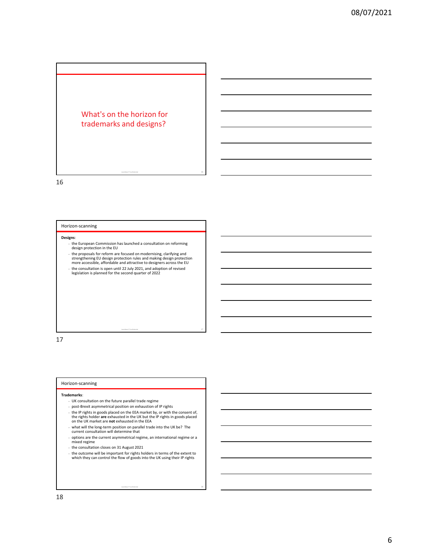# What's on the horizon for<br>trademarks and designs? trademarks and designs?

16

## Horizon-scanning

## Designs:

- the European Commission has launched a consultation on reforming design protection in the EU
- the proposals for reform are focused on modernising, clarifying and strengthening EU design protection rules and making design protection more accessible, affordable and attractive to designers across the EU • the consultation is open until 22 July 2021, and adoption of revised legislation is planned for the second quarter of 2022

LexisNexis® Confidential 17

LexisNexis® Confidential 18

17

## Horizon-scanning

## Trademarks:

- UK consultation on the future parallel trade regime
- post-Brexit asymmetrical position on exhaustion of IP rights
- Frights in goods placed on the EEA market by, or with the consent of,<br>the rights holder are exhausted in the UK but the IP rights in goods placed<br>on the UK market are **not** exhausted in the EEA
- what will the long-term position on parallel trade into the UK be? The current consultation will determine that
- options are the current asymmetrical regime, an international regime or a mixed regime
- the consultation closes on 31 August 2021
- the outcome will be important for rights holders in terms of the extent to which they can control the flow of goods into the UK using their IP rights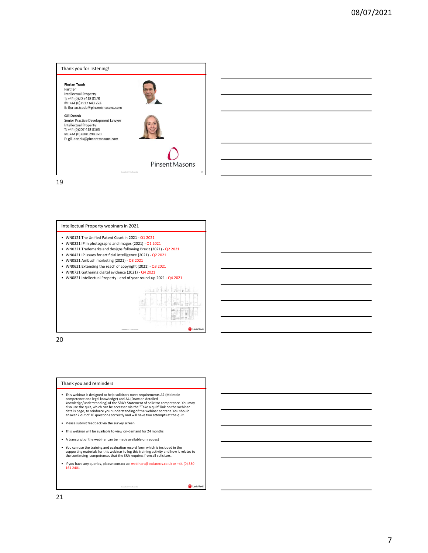



# Intellectual Property webinars in 2021

- 
- 
- 
- 
- 
- 
- 



20

## Thank you and reminders

- competence and legal knowledge) and A4 (Draw on detailed<br>knowledge/understanding) of the SRA's Statement of solicitor competence. You may<br>also use the quiz, which can be accessed via the "Take a quiz" link on the webinar<br>d
- 
- 
- 
- supporting materials for this webinar to log this training activity and how it relates to the continuing competences that the SRA requires from all solicitors.
- 

LexisNexis® Confidential 21 **CONFIDENTIAL CONFIDENTIAL CONFIDENTIAL CONFIDENTIAL CONFIDENTIAL CONFIDENTIAL CONFIDENTIAL**